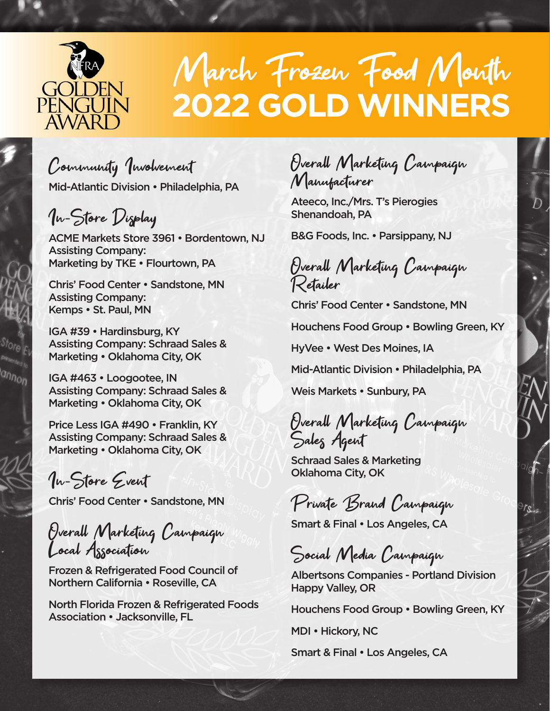

# March Frozen Food Month **2022 GOLD WINNERS**

Community Involvement Mid-Atlantic Division • Philadelphia, PA

In-Store Display

ACME Markets Store 3961 • Bordentown, NJ Assisting Company: Marketing by TKE • Flourtown, PA

Chris' Food Center • Sandstone, MN Assisting Company: Kemps • St. Paul, MN

IGA #39 • Hardinsburg, KY Assisting Company: Schraad Sales & Marketing • Oklahoma City, OK

IGA #463 • Loogootee, IN Assisting Company: Schraad Sales & Marketing • Oklahoma City, OK

Price Less IGA #490 • Franklin, KY Assisting Company: Schraad Sales & Marketing • Oklahoma City, OK

In-Store Event

Chris' Food Center • Sandstone, MN

Overall Marketing Campaign Local Association

Frozen & Refrigerated Food Council of Northern California • Roseville, CA

North Florida Frozen & Refrigerated Foods Association • Jacksonville, FL

Overall Marketing Campaign Manufacturer

Ateeco, Inc./Mrs. T's Pierogies Shenandoah, PA

B&G Foods, Inc. • Parsippany, NJ

Overall Marketing Campaign Retailer

Chris' Food Center • Sandstone, MN

Houchens Food Group • Bowling Green, KY

HyVee • West Des Moines, IA

Mid-Atlantic Division • Philadelphia, PA

Weis Markets • Sunbury, PA

Overall Marketing Campaign Sales Agent

Schraad Sales & Marketing Oklahoma City, OK

Private Brand Campaign

Smart & Final • Los Angeles, CA

Social Media Campaign

Albertsons Companies - Portland Division Happy Valley, OR

Houchens Food Group • Bowling Green, KY

MDI • Hickory, NC

Smart & Final • Los Angeles, CA